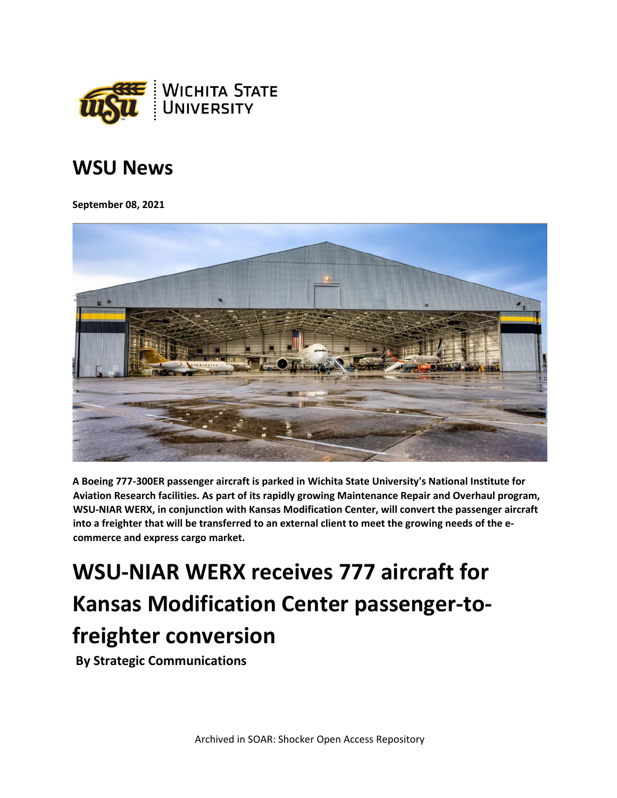

## **WSU News**

**September 08, 2021**



**A Boeing 777-300ER passenger aircraft is parked in Wichita State University's National Institute for Aviation Research facilities. As part of its rapidly growing Maintenance Repair and Overhaul program, WSU-NIAR WERX, in conjunction with Kansas Modification Center, will convert the passenger aircraft into a freighter that will be transferred to an external client to meet the growing needs of the ecommerce and express cargo market.**

## **WSU-NIAR WERX receives 777 aircraft for Kansas Modification Center passenger-tofreighter conversion**

**By Strategic Communications**